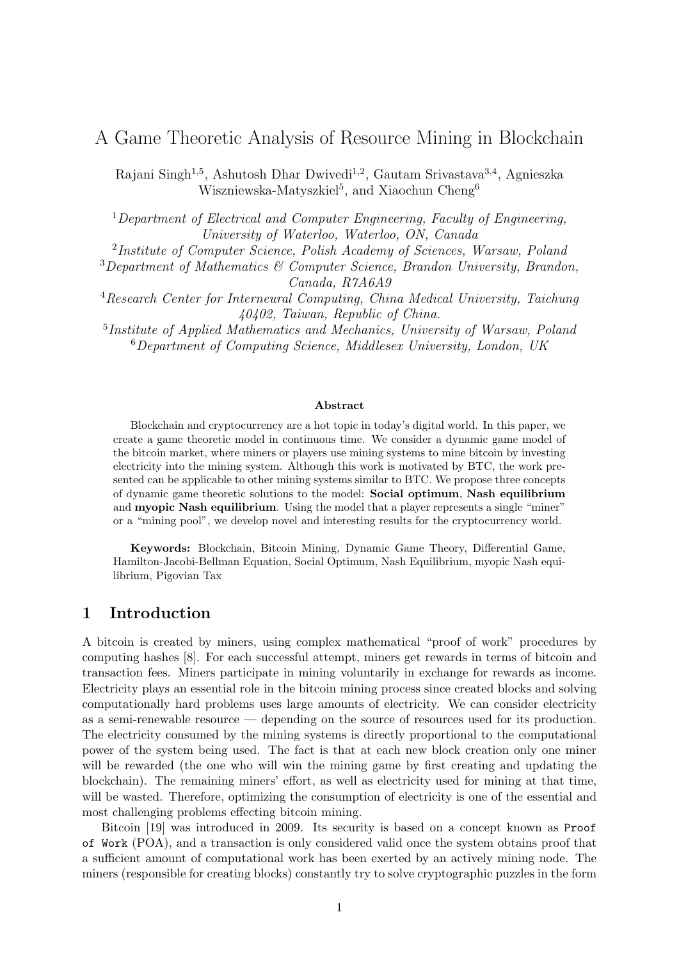# A Game Theoretic Analysis of Resource Mining in Blockchain

Rajani Singh<sup>1,5</sup>, Ashutosh Dhar Dwivedi<sup>1,2</sup>, Gautam Srivastava<sup>3,4</sup>, Agnieszka Wiszniewska-Matyszkiel<sup>5</sup>, and Xiaochun Cheng<sup>6</sup>

 $1$  Department of Electrical and Computer Engineering, Faculty of Engineering, University of Waterloo, Waterloo, ON, Canada

<sup>2</sup>Institute of Computer Science, Polish Academy of Sciences, Warsaw, Poland

 $3$ Department of Mathematics  $6$  Computer Science, Brandon University, Brandon, Canada, R7A6A9

<sup>4</sup>Research Center for Interneural Computing, China Medical University, Taichung 40402, Taiwan, Republic of China.

<sup>5</sup>Institute of Applied Mathematics and Mechanics, University of Warsaw, Poland  $6$ Department of Computing Science, Middlesex University, London, UK

#### Abstract

Blockchain and cryptocurrency are a hot topic in today's digital world. In this paper, we create a game theoretic model in continuous time. We consider a dynamic game model of the bitcoin market, where miners or players use mining systems to mine bitcoin by investing electricity into the mining system. Although this work is motivated by BTC, the work presented can be applicable to other mining systems similar to BTC. We propose three concepts of dynamic game theoretic solutions to the model: Social optimum, Nash equilibrium and **myopic Nash equilibrium**. Using the model that a player represents a single "miner" or a "mining pool", we develop novel and interesting results for the cryptocurrency world.

Keywords: Blockchain, Bitcoin Mining, Dynamic Game Theory, Differential Game, Hamilton-Jacobi-Bellman Equation, Social Optimum, Nash Equilibrium, myopic Nash equilibrium, Pigovian Tax

### 1 Introduction

A bitcoin is created by miners, using complex mathematical "proof of work" procedures by computing hashes [8]. For each successful attempt, miners get rewards in terms of bitcoin and transaction fees. Miners participate in mining voluntarily in exchange for rewards as income. Electricity plays an essential role in the bitcoin mining process since created blocks and solving computationally hard problems uses large amounts of electricity. We can consider electricity as a semi-renewable resource — depending on the source of resources used for its production. The electricity consumed by the mining systems is directly proportional to the computational power of the system being used. The fact is that at each new block creation only one miner will be rewarded (the one who will win the mining game by first creating and updating the blockchain). The remaining miners' effort, as well as electricity used for mining at that time, will be wasted. Therefore, optimizing the consumption of electricity is one of the essential and most challenging problems effecting bitcoin mining.

Bitcoin [19] was introduced in 2009. Its security is based on a concept known as Proof of Work (POA), and a transaction is only considered valid once the system obtains proof that a sufficient amount of computational work has been exerted by an actively mining node. The miners (responsible for creating blocks) constantly try to solve cryptographic puzzles in the form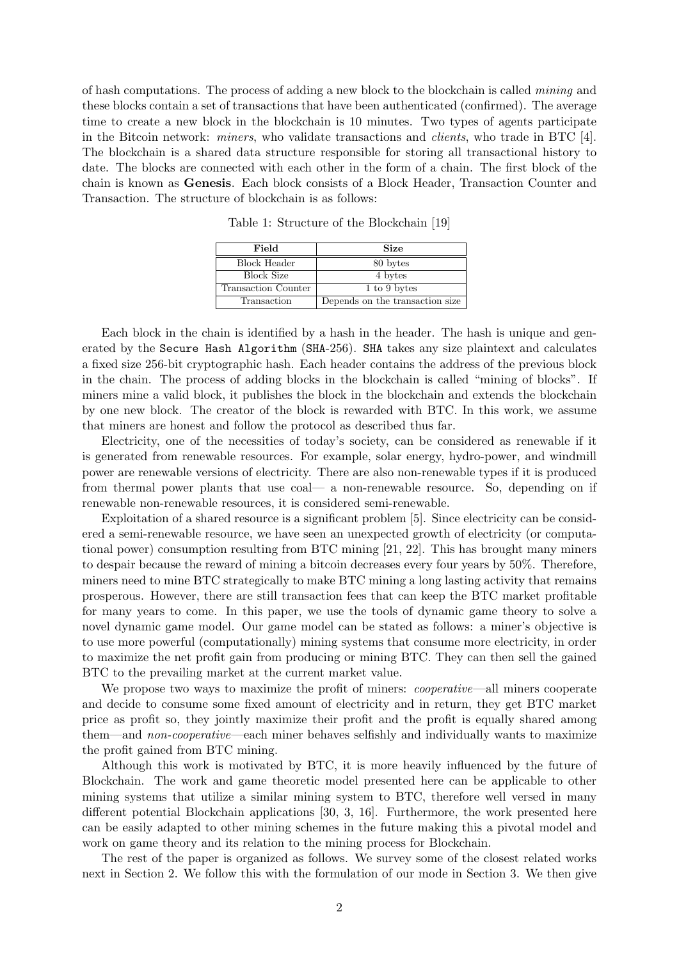of hash computations. The process of adding a new block to the blockchain is called *mining* and these blocks contain a set of transactions that have been authenticated (confirmed). The average time to create a new block in the blockchain is 10 minutes. Two types of agents participate in the Bitcoin network: *miners*, who validate transactions and *clients*, who trade in BTC [4]. The blockchain is a shared data structure responsible for storing all transactional history to date. The blocks are connected with each other in the form of a chain. The first block of the chain is known as Genesis. Each block consists of a Block Header, Transaction Counter and Transaction. The structure of blockchain is as follows:

| Field               | <b>Size</b>                     |
|---------------------|---------------------------------|
| Block Header        | 80 bytes                        |
| <b>Block Size</b>   | 4 bytes                         |
| Transaction Counter | 1 to 9 bytes                    |
| Transaction         | Depends on the transaction size |

Table 1: Structure of the Blockchain [19]

Each block in the chain is identified by a hash in the header. The hash is unique and generated by the Secure Hash Algorithm (SHA-256). SHA takes any size plaintext and calculates a fixed size 256-bit cryptographic hash. Each header contains the address of the previous block in the chain. The process of adding blocks in the blockchain is called "mining of blocks". If miners mine a valid block, it publishes the block in the blockchain and extends the blockchain by one new block. The creator of the block is rewarded with BTC. In this work, we assume that miners are honest and follow the protocol as described thus far.

Electricity, one of the necessities of today's society, can be considered as renewable if it is generated from renewable resources. For example, solar energy, hydro-power, and windmill power are renewable versions of electricity. There are also non-renewable types if it is produced from thermal power plants that use coal— a non-renewable resource. So, depending on if renewable non-renewable resources, it is considered semi-renewable.

Exploitation of a shared resource is a significant problem [5]. Since electricity can be considered a semi-renewable resource, we have seen an unexpected growth of electricity (or computational power) consumption resulting from BTC mining [21, 22]. This has brought many miners to despair because the reward of mining a bitcoin decreases every four years by 50%. Therefore, miners need to mine BTC strategically to make BTC mining a long lasting activity that remains prosperous. However, there are still transaction fees that can keep the BTC market profitable for many years to come. In this paper, we use the tools of dynamic game theory to solve a novel dynamic game model. Our game model can be stated as follows: a miner's objective is to use more powerful (computationally) mining systems that consume more electricity, in order to maximize the net profit gain from producing or mining BTC. They can then sell the gained BTC to the prevailing market at the current market value.

We propose two ways to maximize the profit of miners: *cooperative*—all miners cooperate and decide to consume some fixed amount of electricity and in return, they get BTC market price as profit so, they jointly maximize their profit and the profit is equally shared among them—and non-cooperative—each miner behaves selfishly and individually wants to maximize the profit gained from BTC mining.

Although this work is motivated by BTC, it is more heavily influenced by the future of Blockchain. The work and game theoretic model presented here can be applicable to other mining systems that utilize a similar mining system to BTC, therefore well versed in many different potential Blockchain applications [30, 3, 16]. Furthermore, the work presented here can be easily adapted to other mining schemes in the future making this a pivotal model and work on game theory and its relation to the mining process for Blockchain.

The rest of the paper is organized as follows. We survey some of the closest related works next in Section 2. We follow this with the formulation of our mode in Section 3. We then give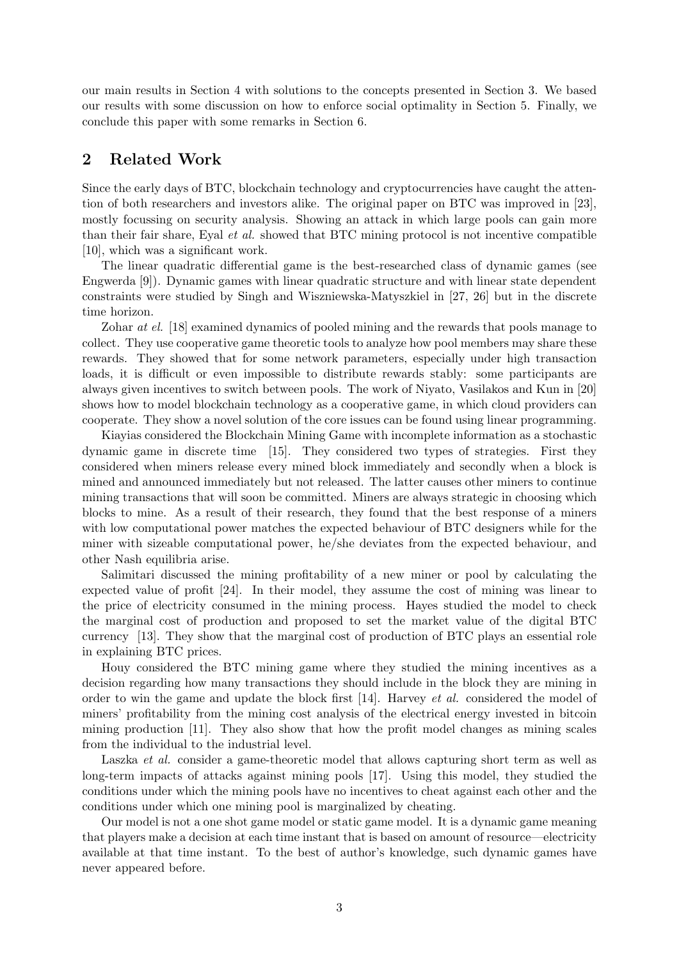our main results in Section 4 with solutions to the concepts presented in Section 3. We based our results with some discussion on how to enforce social optimality in Section 5. Finally, we conclude this paper with some remarks in Section 6.

## 2 Related Work

Since the early days of BTC, blockchain technology and cryptocurrencies have caught the attention of both researchers and investors alike. The original paper on BTC was improved in [23], mostly focussing on security analysis. Showing an attack in which large pools can gain more than their fair share, Eyal et al. showed that BTC mining protocol is not incentive compatible [10], which was a significant work.

The linear quadratic differential game is the best-researched class of dynamic games (see Engwerda [9]). Dynamic games with linear quadratic structure and with linear state dependent constraints were studied by Singh and Wiszniewska-Matyszkiel in [27, 26] but in the discrete time horizon.

Zohar at el. [18] examined dynamics of pooled mining and the rewards that pools manage to collect. They use cooperative game theoretic tools to analyze how pool members may share these rewards. They showed that for some network parameters, especially under high transaction loads, it is difficult or even impossible to distribute rewards stably: some participants are always given incentives to switch between pools. The work of Niyato, Vasilakos and Kun in [20] shows how to model blockchain technology as a cooperative game, in which cloud providers can cooperate. They show a novel solution of the core issues can be found using linear programming.

Kiayias considered the Blockchain Mining Game with incomplete information as a stochastic dynamic game in discrete time [15]. They considered two types of strategies. First they considered when miners release every mined block immediately and secondly when a block is mined and announced immediately but not released. The latter causes other miners to continue mining transactions that will soon be committed. Miners are always strategic in choosing which blocks to mine. As a result of their research, they found that the best response of a miners with low computational power matches the expected behaviour of BTC designers while for the miner with sizeable computational power, he/she deviates from the expected behaviour, and other Nash equilibria arise.

Salimitari discussed the mining profitability of a new miner or pool by calculating the expected value of profit [24]. In their model, they assume the cost of mining was linear to the price of electricity consumed in the mining process. Hayes studied the model to check the marginal cost of production and proposed to set the market value of the digital BTC currency [13]. They show that the marginal cost of production of BTC plays an essential role in explaining BTC prices.

Houy considered the BTC mining game where they studied the mining incentives as a decision regarding how many transactions they should include in the block they are mining in order to win the game and update the block first [14]. Harvey et al. considered the model of miners' profitability from the mining cost analysis of the electrical energy invested in bitcoin mining production [11]. They also show that how the profit model changes as mining scales from the individual to the industrial level.

Laszka *et al.* consider a game-theoretic model that allows capturing short term as well as long-term impacts of attacks against mining pools [17]. Using this model, they studied the conditions under which the mining pools have no incentives to cheat against each other and the conditions under which one mining pool is marginalized by cheating.

Our model is not a one shot game model or static game model. It is a dynamic game meaning that players make a decision at each time instant that is based on amount of resource—electricity available at that time instant. To the best of author's knowledge, such dynamic games have never appeared before.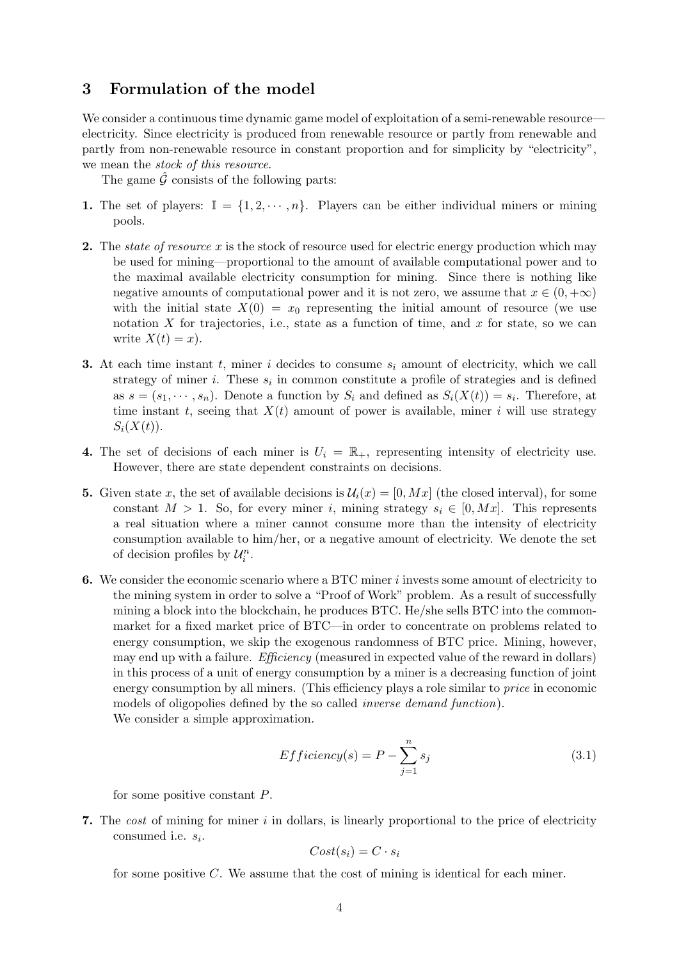### 3 Formulation of the model

We consider a continuous time dynamic game model of exploitation of a semi-renewable resource electricity. Since electricity is produced from renewable resource or partly from renewable and partly from non-renewable resource in constant proportion and for simplicity by "electricity", we mean the stock of this resource.

The game  $\hat{G}$  consists of the following parts:

- 1. The set of players:  $\mathbb{I} = \{1, 2, \dots, n\}$ . Players can be either individual miners or mining pools.
- 2. The *state of resource* x is the stock of resource used for electric energy production which may be used for mining—proportional to the amount of available computational power and to the maximal available electricity consumption for mining. Since there is nothing like negative amounts of computational power and it is not zero, we assume that  $x \in (0, +\infty)$ with the initial state  $X(0) = x_0$  representing the initial amount of resource (we use notation X for trajectories, i.e., state as a function of time, and x for state, so we can write  $X(t) = x$ .
- 3. At each time instant t, miner i decides to consume  $s_i$  amount of electricity, which we call strategy of miner *i*. These  $s_i$  in common constitute a profile of strategies and is defined as  $s = (s_1, \dots, s_n)$ . Denote a function by  $S_i$  and defined as  $S_i(X(t)) = s_i$ . Therefore, at time instant t, seeing that  $X(t)$  amount of power is available, miner i will use strategy  $S_i(X(t))$ .
- 4. The set of decisions of each miner is  $U_i = \mathbb{R}_+$ , representing intensity of electricity use. However, there are state dependent constraints on decisions.
- 5. Given state x, the set of available decisions is  $\mathcal{U}_i(x) = [0, Mx]$  (the closed interval), for some constant  $M > 1$ . So, for every miner i, mining strategy  $s_i \in [0, Mx]$ . This represents a real situation where a miner cannot consume more than the intensity of electricity consumption available to him/her, or a negative amount of electricity. We denote the set of decision profiles by  $\mathcal{U}_i^n$ .
- 6. We consider the economic scenario where a BTC miner i invests some amount of electricity to the mining system in order to solve a "Proof of Work" problem. As a result of successfully mining a block into the blockchain, he produces BTC. He/she sells BTC into the commonmarket for a fixed market price of BTC—in order to concentrate on problems related to energy consumption, we skip the exogenous randomness of BTC price. Mining, however, may end up with a failure. *Efficiency* (measured in expected value of the reward in dollars) in this process of a unit of energy consumption by a miner is a decreasing function of joint energy consumption by all miners. (This efficiency plays a role similar to *price* in economic models of oligopolies defined by the so called inverse demand function). We consider a simple approximation.

$$
Efficiency(s) = P - \sum_{j=1}^{n} s_j
$$
\n(3.1)

for some positive constant P.

7. The cost of mining for miner  $i$  in dollars, is linearly proportional to the price of electricity consumed i.e.  $s_i$ .

$$
Cost(s_i) = C \cdot s_i
$$

for some positive  $C$ . We assume that the cost of mining is identical for each miner.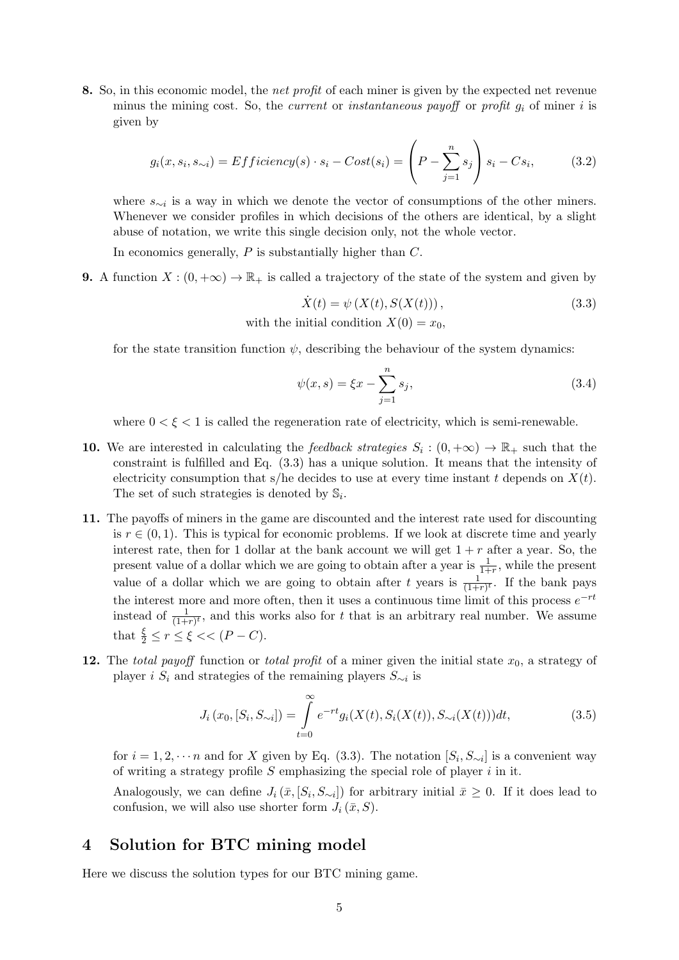8. So, in this economic model, the net profit of each miner is given by the expected net revenue minus the mining cost. So, the *current* or *instantaneous payoff* or *profit*  $g_i$  of miner i is given by

$$
g_i(x, s_i, s_{\sim i}) = Efficiency(s) \cdot s_i - Cost(s_i) = \left(P - \sum_{j=1}^n s_j\right) s_i - Cs_i,
$$
 (3.2)

where s∼<sup>i</sup> is a way in which we denote the vector of consumptions of the other miners. Whenever we consider profiles in which decisions of the others are identical, by a slight abuse of notation, we write this single decision only, not the whole vector.

In economics generally,  $P$  is substantially higher than  $C$ .

9. A function  $X:(0,+\infty) \to \mathbb{R}_+$  is called a trajectory of the state of the system and given by

$$
\dot{X}(t) = \psi\left(X(t), S(X(t))\right),\tag{3.3}
$$
\nwith the initial condition  $X(0) = x_0$ ,

for the state transition function  $\psi$ , describing the behaviour of the system dynamics:

$$
\psi(x,s) = \xi x - \sum_{j=1}^{n} s_j,
$$
\n(3.4)

where  $0 < \xi < 1$  is called the regeneration rate of electricity, which is semi-renewable.

- 10. We are interested in calculating the feedback strategies  $S_i : (0, +\infty) \to \mathbb{R}_+$  such that the constraint is fulfilled and Eq. (3.3) has a unique solution. It means that the intensity of electricity consumption that s/he decides to use at every time instant t depends on  $X(t)$ . The set of such strategies is denoted by  $\mathbb{S}_i$ .
- 11. The payoffs of miners in the game are discounted and the interest rate used for discounting is  $r \in (0, 1)$ . This is typical for economic problems. If we look at discrete time and yearly interest rate, then for 1 dollar at the bank account we will get  $1 + r$  after a year. So, the present value of a dollar which we are going to obtain after a year is  $\frac{1}{1+r}$ , while the present value of a dollar which we are going to obtain after t years is  $\frac{1}{(1+r)^t}$ . If the bank pays the interest more and more often, then it uses a continuous time limit of this process  $e^{-rt}$ instead of  $\frac{1}{(1+r)^t}$ , and this works also for t that is an arbitrary real number. We assume that  $\frac{\xi}{2} \le r \le \xi \lt (P - C)$ .
- 12. The total payoff function or total profit of a miner given the initial state  $x_0$ , a strategy of player *i*  $S_i$  and strategies of the remaining players  $S_{\sim i}$  is

$$
J_i(x_0, [S_i, S_{\sim i}]) = \int_{t=0}^{\infty} e^{-rt} g_i(X(t), S_i(X(t)), S_{\sim i}(X(t))) dt,
$$
\n(3.5)

for  $i = 1, 2, \dots n$  and for X given by Eq. (3.3). The notation  $[S_i, S_{\sim i}]$  is a convenient way of writing a strategy profile  $S$  emphasizing the special role of player  $i$  in it.

Analogously, we can define  $J_i(\bar{x}, [S_i, S_{\sim i}])$  for arbitrary initial  $\bar{x} \geq 0$ . If it does lead to confusion, we will also use shorter form  $J_i(\bar{x}, S)$ .

### 4 Solution for BTC mining model

Here we discuss the solution types for our BTC mining game.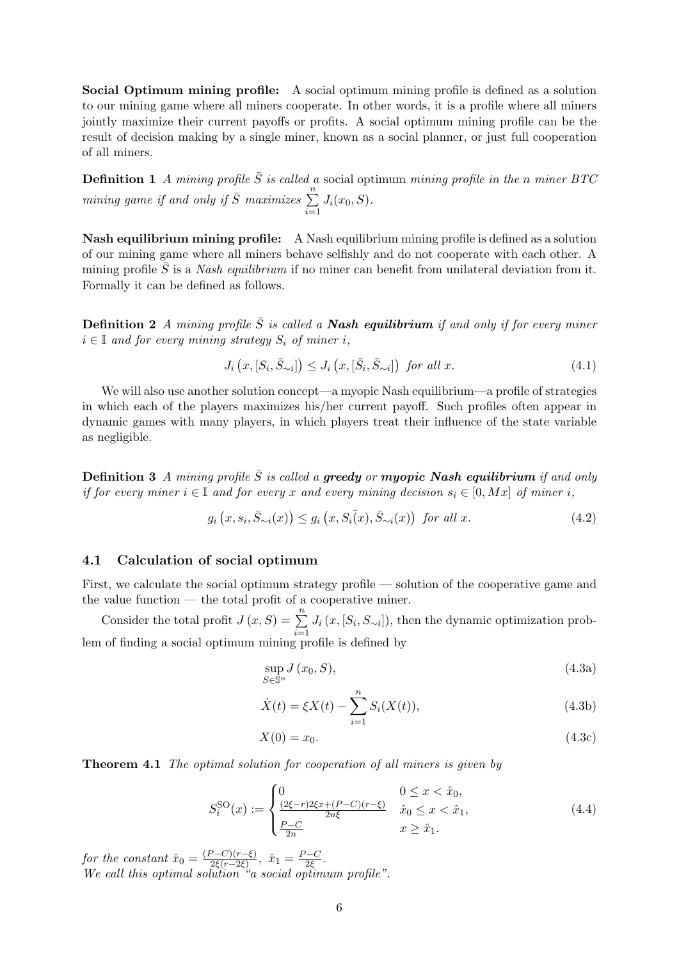Social Optimum mining profile: A social optimum mining profile is defined as a solution to our mining game where all miners cooperate. In other words, it is a profile where all miners jointly maximize their current payoffs or profits. A social optimum mining profile can be the result of decision making by a single miner, known as a social planner, or just full cooperation of all miners.

**Definition 1** A mining profile  $\overline{S}$  is called a social optimum mining profile in the n miner BTC mining game if and only if  $\overline{S}$  maximizes  $\sum_{n=1}^{\infty}$  $i=1$  $J_i(x_0, S)$ .

Nash equilibrium mining profile: A Nash equilibrium mining profile is defined as a solution of our mining game where all miners behave selfishly and do not cooperate with each other. A mining profile  $\bar{S}$  is a *Nash equilibrium* if no miner can benefit from unilateral deviation from it. Formally it can be defined as follows.

**Definition 2** A mining profile  $\overline{S}$  is called a **Nash equilibrium** if and only if for every miner  $i \in \mathbb{I}$  and for every mining strategy  $S_i$  of miner i,

$$
J_i\left(x,[S_i,\bar{S}_{\sim i}]\right) \le J_i\left(x,[\bar{S}_i,\bar{S}_{\sim i}]\right) \text{ for all } x. \tag{4.1}
$$

We will also use another solution concept—a myopic Nash equilibrium—a profile of strategies in which each of the players maximizes his/her current payoff. Such profiles often appear in dynamic games with many players, in which players treat their influence of the state variable as negligible.

**Definition 3** A mining profile  $\overline{S}$  is called a **greedy** or **myopic Nash equilibrium** if and only if for every miner  $i \in \mathbb{I}$  and for every x and every mining decision  $s_i \in [0, Mx]$  of miner i,

$$
g_i(x, s_i, \bar{S}_{\sim i}(x)) \le g_i(x, S_i(x), \bar{S}_{\sim i}(x)) \text{ for all } x. \tag{4.2}
$$

#### 4.1 Calculation of social optimum

First, we calculate the social optimum strategy profile — solution of the cooperative game and the value function — the total profit of a cooperative miner.

Consider the total profit  $J(x, S) = \sum^{n}$  $i=1$  $J_i(x,[S_i,S_{\sim i}]),$  then the dynamic optimization problem of finding a social optimum mining profile is defined by

$$
\sup_{S \in \mathbb{S}^n} J(x_0, S),\tag{4.3a}
$$

$$
\dot{X}(t) = \xi X(t) - \sum_{i=1}^{n} S_i(X(t)),
$$
\n(4.3b)

$$
X(0) = x_0. \tag{4.3c}
$$

**Theorem 4.1** The optimal solution for cooperation of all miners is given by

$$
S_i^{\text{SO}}(x) := \begin{cases} 0 & 0 \le x < \hat{x}_0, \\ \frac{(2\xi - r)2\xi x + (P - C)(r - \xi)}{2n\xi} & \hat{x}_0 \le x < \hat{x}_1, \\ \frac{P - C}{2n} & x \ge \hat{x}_1. \end{cases}
$$
(4.4)

for the constant  $\hat{x}_0 = \frac{(P-C)(r-\xi)}{2\xi(r-2\xi)}$  $\frac{2e^{-C}(r-\xi)}{2\xi(r-2\xi)}, \ \hat{x}_1 = \frac{P-C}{2\xi}$  $\frac{C-C}{2\xi}$  . We call this optimal solution "a social optimum profile".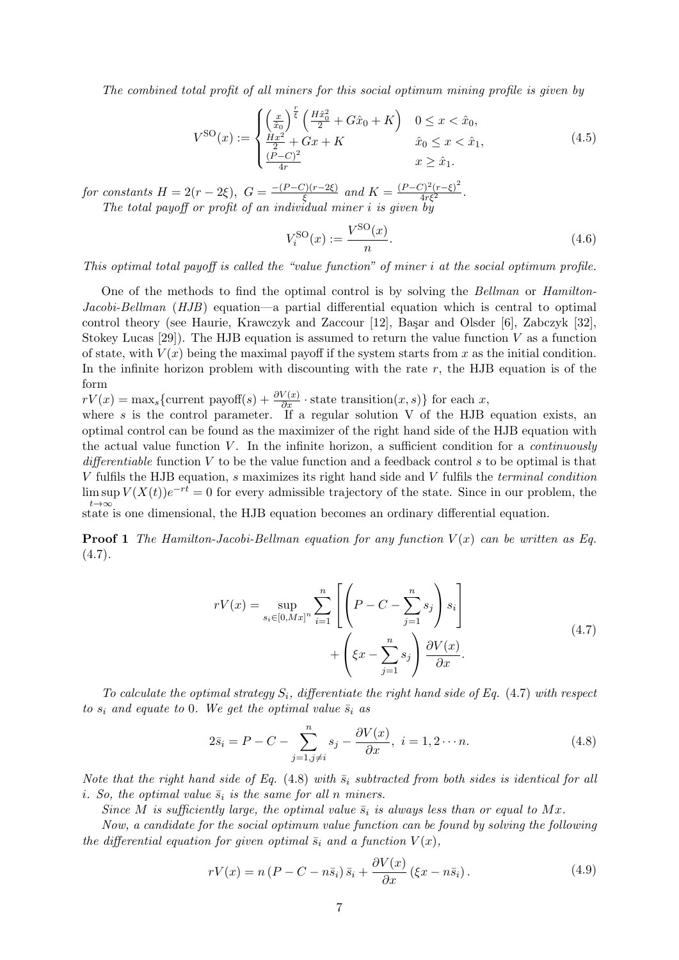The combined total profit of all miners for this social optimum mining profile is given by

$$
V^{\text{SO}}(x) := \begin{cases} \left(\frac{x}{\hat{x}_0}\right)^{\frac{r}{\xi}} \left(\frac{H\hat{x}_0^2}{2} + G\hat{x}_0 + K\right) & 0 \le x < \hat{x}_0, \\ \frac{Hx^2}{2} + Gx + K & \hat{x}_0 \le x < \hat{x}_1, \\ \frac{(P-C)^2}{4r} & x \ge \hat{x}_1. \end{cases}
$$
(4.5)

for constants  $H = 2(r - 2\xi), G = \frac{-(P-C)(r-2\xi)}{\xi}$  $\frac{\Gamma(r-2\xi)}{\xi}$  and  $K = \frac{(P-C)^2(r-\xi)^2}{4r\xi^2}$ . The total payoff or profit of an individual miner i is given by

$$
V_i^{\text{SO}}(x) := \frac{V^{\text{SO}}(x)}{n}.
$$
\n
$$
(4.6)
$$

This optimal total payoff is called the "value function" of miner i at the social optimum profile.

One of the methods to find the optimal control is by solving the Bellman or Hamilton-Jacobi-Bellman  $(HJB)$  equation—a partial differential equation which is central to optimal control theory (see Haurie, Krawczyk and Zaccour [12], Başar and Olsder [6], Zabczyk [32], Stokey Lucas  $[29]$ . The HJB equation is assumed to return the value function V as a function of state, with  $V(x)$  being the maximal payoff if the system starts from x as the initial condition. In the infinite horizon problem with discounting with the rate  $r$ , the HJB equation is of the form

 $rV(x) = \max_{s} \{$ current payoff $(s) + \frac{\partial V(x)}{\partial x} \cdot$  state transition $(x, s)$ } for each x,

where  $s$  is the control parameter. If a regular solution V of the HJB equation exists, an optimal control can be found as the maximizer of the right hand side of the HJB equation with the actual value function  $V$ . In the infinite horizon, a sufficient condition for a *continuously* differentiable function V to be the value function and a feedback control s to be optimal is that V fulfils the HJB equation, s maximizes its right hand side and V fulfils the terminal condition  $\limsup V(X(t))e^{-rt} = 0$  for every admissible trajectory of the state. Since in our problem, the  $t\rightarrow\infty$ <br>state is one dimensional, the HJB equation becomes an ordinary differential equation.

**Proof 1** The Hamilton-Jacobi-Bellman equation for any function  $V(x)$  can be written as Eq.  $(4.7).$ 

$$
rV(x) = \sup_{s_i \in [0, Mx]^n} \sum_{i=1}^n \left[ \left( P - C - \sum_{j=1}^n s_j \right) s_i \right] + \left( \xi x - \sum_{j=1}^n s_j \right) \frac{\partial V(x)}{\partial x}.
$$
\n(4.7)

To calculate the optimal strategy  $S_i$ , differentiate the right hand side of Eq. (4.7) with respect to  $s_i$  and equate to 0. We get the optimal value  $\bar{s}_i$  as

$$
2\bar{s}_i = P - C - \sum_{j=1, j\neq i}^{n} s_j - \frac{\partial V(x)}{\partial x}, \quad i = 1, 2 \cdots n. \tag{4.8}
$$

Note that the right hand side of Eq. (4.8) with  $\bar{s}_i$  subtracted from both sides is identical for all i. So, the optimal value  $\bar{s}_i$  is the same for all n miners.

Since M is sufficiently large, the optimal value  $\bar{s}_i$  is always less than or equal to Mx.

Now, a candidate for the social optimum value function can be found by solving the following the differential equation for given optimal  $\bar{s}_i$  and a function  $V(x)$ ,

$$
rV(x) = n\left(P - C - n\bar{s}_i\right)\bar{s}_i + \frac{\partial V(x)}{\partial x}\left(\xi x - n\bar{s}_i\right). \tag{4.9}
$$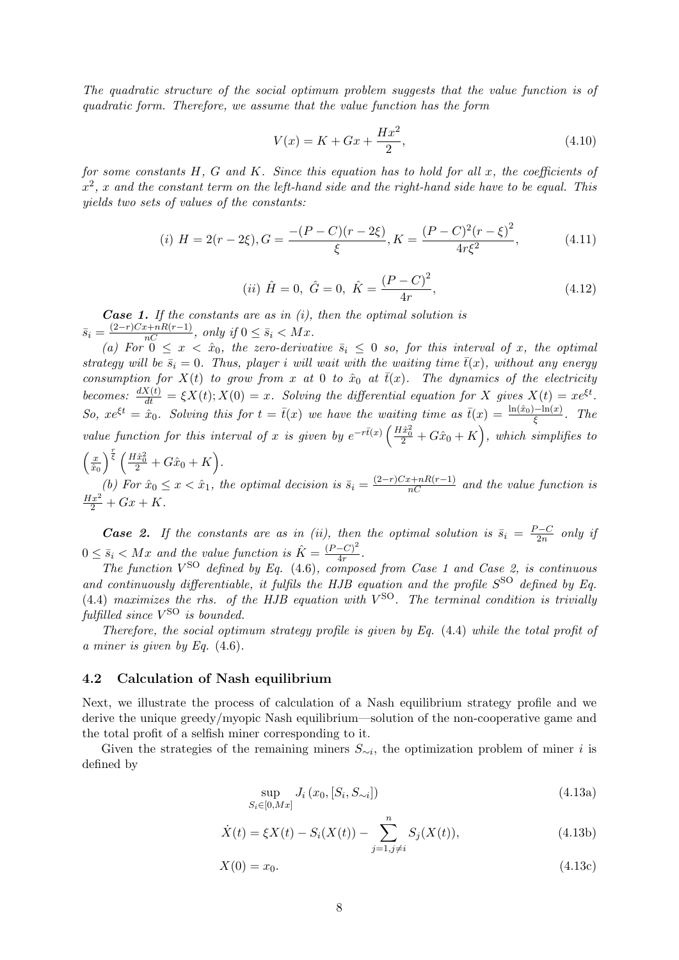The quadratic structure of the social optimum problem suggests that the value function is of quadratic form. Therefore, we assume that the value function has the form

$$
V(x) = K + Gx + \frac{Hx^2}{2},
$$
\n(4.10)

for some constants  $H, G$  and  $K$ . Since this equation has to hold for all  $x$ , the coefficients of  $x^2$ , x and the constant term on the left-hand side and the right-hand side have to be equal. This yields two sets of values of the constants:

(i) 
$$
H = 2(r - 2\xi), G = \frac{-(P - C)(r - 2\xi)}{\xi}, K = \frac{(P - C)^2(r - \xi)^2}{4r\xi^2},
$$
 (4.11)

(*ii*) 
$$
\hat{H} = 0
$$
,  $\hat{G} = 0$ ,  $\hat{K} = \frac{(P - C)^2}{4r}$ , (4.12)

**Case 1.** If the constants are as in  $(i)$ , then the optimal solution is  $\overline{s}_i = \frac{(2-r)Cx + nR(r-1)}{nC}$ , only if  $0 \le \overline{s}_i < Mx$ .

(a) For  $0 \leq x < \hat{x}_0$ , the zero-derivative  $\bar{s}_i \leq 0$  so, for this interval of x, the optimal strategy will be  $\bar{s}_i = 0$ . Thus, player i will wait with the waiting time  $\bar{t}(x)$ , without any energy consumption for  $X(t)$  to grow from x at 0 to  $\hat{x}_0$  at  $\overline{t}(x)$ . The dynamics of the electricity becomes:  $\frac{dX(t)}{dt} = \xi X(t); X(0) = x$ . Solving the differential equation for X gives  $X(t) = xe^{\xi t}$ . So,  $xe^{\xi t} = \hat{x}_0$ . Solving this for  $t = \bar{t}(x)$  we have the waiting time as  $\bar{t}(x) = \frac{\ln(\hat{x}_0) - \ln(x)}{\xi}$ . The value function for this interval of x is given by  $e^{-r\bar{t}(x)}\left(\frac{H\hat{x}_0^2}{2}+G\hat{x}_0+K\right)$ , which simplifies to  $\left(\frac{x}{\hat{x}_0}\right)^{\frac{r}{\xi}}\left(\frac{H\hat{x}_0^2}{2}+G\hat{x}_0+K\right).$  $\overline{\hat{x}_0}$ 

(b) For  $\hat{x}_0 \le x < \hat{x}_1$ , the optimal decision is  $\bar{s}_i = \frac{(2-r)Cx + nR(r-1)}{nC}$  and the value function is  $\frac{Hx^2}{2} + Gx + K$ .

**Case 2.** If the constants are as in (ii), then the optimal solution is  $\bar{s}_i = \frac{P-C}{2n}$  $\frac{2-C}{2n}$  only if  $0 \leq \bar{s}_i < Mx$  and the value function is  $\hat{K} = \frac{(P-C)^2}{4r}$  $\frac{-C}{4r}$ .

The function  $V^{\text{SO}}$  defined by Eq. (4.6), composed from Case 1 and Case 2, is continuous and continuously differentiable, it fulfils the HJB equation and the profile  $S^{SO}$  defined by Eq.  $(4.4)$  maximizes the rhs. of the HJB equation with  $V^{SO}$ . The terminal condition is trivially  $\emph{fulfilled since $V^{\rm SO}$ is bounded}.$ 

Therefore, the social optimum strategy profile is given by Eq. (4.4) while the total profit of a miner is given by Eq. (4.6).

#### 4.2 Calculation of Nash equilibrium

Next, we illustrate the process of calculation of a Nash equilibrium strategy profile and we derive the unique greedy/myopic Nash equilibrium—solution of the non-cooperative game and the total profit of a selfish miner corresponding to it.

Given the strategies of the remaining miners  $S_{\sim i}$ , the optimization problem of miner *i* is defined by

$$
\sup_{S_i \in [0, Mx]} J_i(x_0, [S_i, S_{\sim i}])
$$
\n(4.13a)

$$
\dot{X}(t) = \xi X(t) - S_i(X(t)) - \sum_{j=1, j \neq i}^{n} S_j(X(t)),
$$
\n(4.13b)

$$
X(0) = x_0. \t\t(4.13c)
$$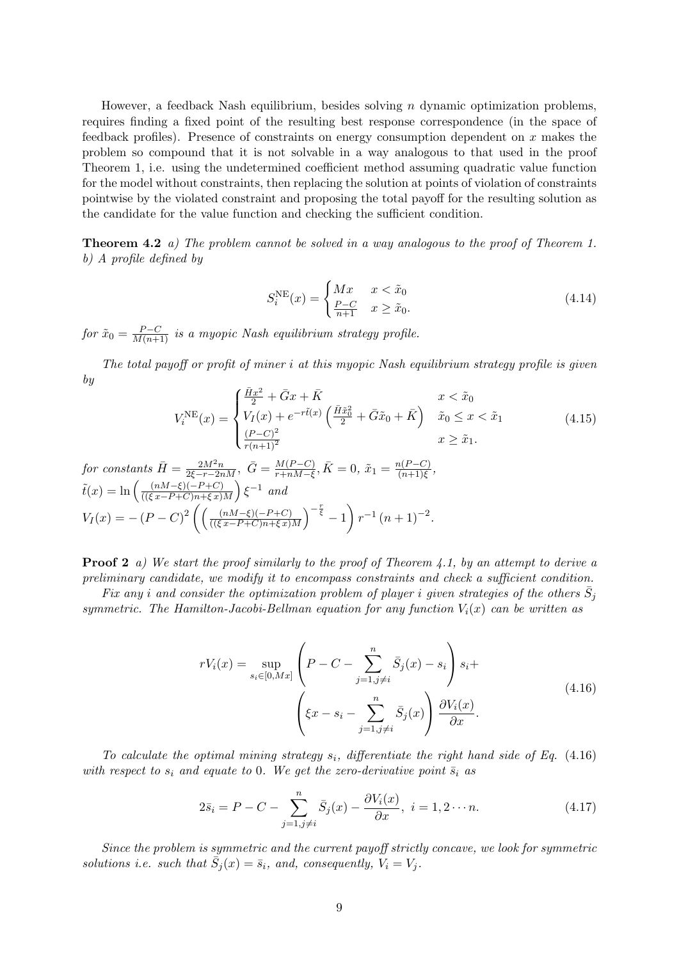However, a feedback Nash equilibrium, besides solving  $n$  dynamic optimization problems, requires finding a fixed point of the resulting best response correspondence (in the space of feedback profiles). Presence of constraints on energy consumption dependent on x makes the problem so compound that it is not solvable in a way analogous to that used in the proof Theorem 1, i.e. using the undetermined coefficient method assuming quadratic value function for the model without constraints, then replacing the solution at points of violation of constraints pointwise by the violated constraint and proposing the total payoff for the resulting solution as the candidate for the value function and checking the sufficient condition.

Theorem 4.2 a) The problem cannot be solved in a way analogous to the proof of Theorem 1. b) A profile defined by

$$
S_i^{\text{NE}}(x) = \begin{cases} Mx & x < \tilde{x}_0 \\ \frac{P-C}{n+1} & x \ge \tilde{x}_0. \end{cases} \tag{4.14}
$$

for  $\tilde{x}_0 = \frac{P-C}{M(n+1)}$  is a myopic Nash equilibrium strategy profile.

The total payoff or profit of miner i at this myopic Nash equilibrium strategy profile is given by

$$
V_i^{\text{NE}}(x) = \begin{cases} \frac{\bar{H}x^2}{2} + \bar{G}x + \bar{K} & x < \tilde{x}_0\\ V_I(x) + e^{-r\tilde{t}(x)} \left( \frac{\bar{H}\tilde{x}_0^2}{2} + \bar{G}\tilde{x}_0 + \bar{K} \right) & \tilde{x}_0 \le x < \tilde{x}_1\\ \frac{(P-C)^2}{r(n+1)^2} & x \ge \tilde{x}_1. \end{cases}
$$
(4.15)

for constants 
$$
\bar{H} = \frac{2M^2n}{2\xi - r - 2nM}
$$
,  $\bar{G} = \frac{M(P-C)}{r + nM - \xi}$ ,  $\bar{K} = 0$ ,  $\tilde{x}_1 = \frac{n(P-C)}{(n+1)\xi}$ ,  
\n $\tilde{t}(x) = \ln\left(\frac{(nM-\xi)(-P+C)}{((\xi x - P+C)n + \xi x)M}\right)\xi^{-1}$  and  
\n
$$
V_I(x) = -(P-C)^2 \left(\left(\frac{(nM-\xi)(-P+C)}{((\xi x - P+C)n + \xi x)M}\right)^{-\frac{r}{\xi}} - 1\right) r^{-1} (n+1)^{-2}.
$$

**Proof 2** a) We start the proof similarly to the proof of Theorem 4.1, by an attempt to derive a preliminary candidate, we modify it to encompass constraints and check a sufficient condition.

Fix any i and consider the optimization problem of player i given strategies of the others  $\bar{S}_j$ symmetric. The Hamilton-Jacobi-Bellman equation for any function  $V_i(x)$  can be written as

$$
rV_i(x) = \sup_{s_i \in [0, Mx]} \left( P - C - \sum_{j=1, j \neq i}^n \bar{S}_j(x) - s_i \right) s_i + \left( \xi x - s_i - \sum_{j=1, j \neq i}^n \bar{S}_j(x) \right) \frac{\partial V_i(x)}{\partial x}.
$$
\n(4.16)

To calculate the optimal mining strategy  $s_i$ , differentiate the right hand side of Eq. (4.16) with respect to  $s_i$  and equate to 0. We get the zero-derivative point  $\bar{s}_i$  as

$$
2\bar{s}_i = P - C - \sum_{j=1, j \neq i}^{n} \bar{S}_j(x) - \frac{\partial V_i(x)}{\partial x}, \ i = 1, 2 \cdots n. \tag{4.17}
$$

Since the problem is symmetric and the current payoff strictly concave, we look for symmetric solutions i.e. such that  $\bar{S}_j(x) = \bar{s}_i$ , and, consequently,  $V_i = V_j$ .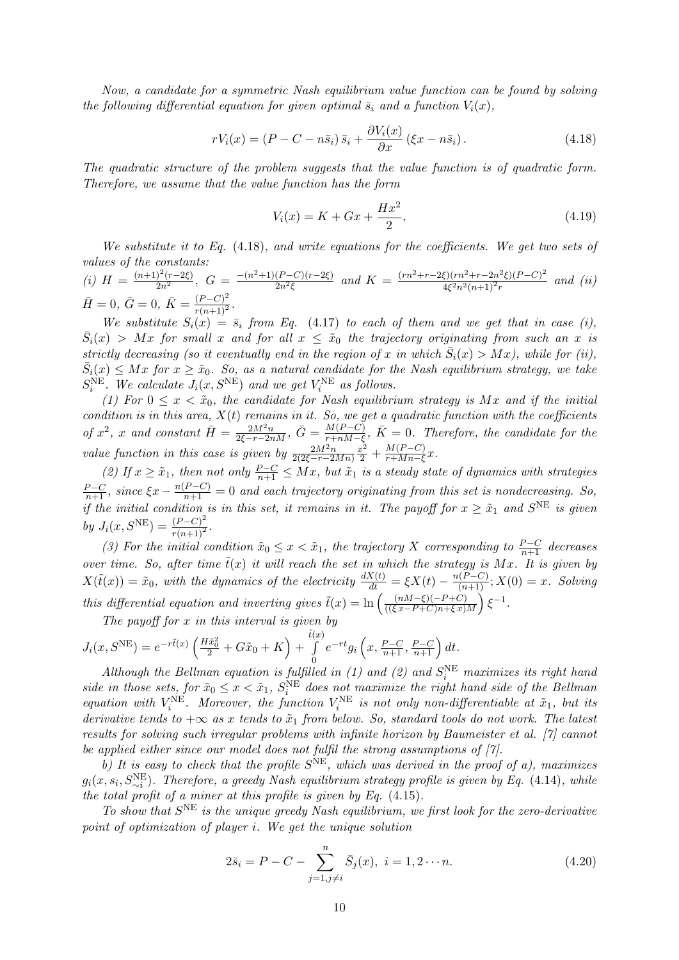Now, a candidate for a symmetric Nash equilibrium value function can be found by solving the following differential equation for given optimal  $\bar{s}_i$  and a function  $V_i(x)$ ,

$$
rV_i(x) = (P - C - n\bar{s}_i)\bar{s}_i + \frac{\partial V_i(x)}{\partial x} (\xi x - n\bar{s}_i). \tag{4.18}
$$

The quadratic structure of the problem suggests that the value function is of quadratic form. Therefore, we assume that the value function has the form

$$
V_i(x) = K + Gx + \frac{Hx^2}{2},
$$
\n(4.19)

We substitute it to Eq.  $(4.18)$ , and write equations for the coefficients. We get two sets of values of the constants:

(i) 
$$
H = \frac{(n+1)^2(r-2\xi)}{2n^2}
$$
,  $G = \frac{-(n^2+1)(P-C)(r-2\xi)}{2n^2\xi}$  and  $K = \frac{(rn^2+r-2\xi)(rn^2+r-2n^2\xi)(P-C)^2}{4\xi^2n^2(n+1)^2r}$  and (ii)  
\n $\bar{H} = 0$ ,  $\bar{G} = 0$ ,  $\bar{K} = \frac{(P-C)^2}{r(n+1)^2}$ .

We substitute  $S_i(x) = \bar{s}_i$  from Eq. (4.17) to each of them and we get that in case (i),  $\bar{S}_i(x) > Mx$  for small x and for all  $x \leq \tilde{x}_0$  the trajectory originating from such an x is strictly decreasing (so it eventually end in the region of x in which  $\bar{S}_i(x) > Mx$ ), while for (ii),  $\bar{S}_i(x) \leq Mx$  for  $x \geq \tilde{x}_0$ . So, as a natural candidate for the Nash equilibrium strategy, we take  $S_i^{\text{NE}}$ . We calculate  $J_i(x, S^{\text{NE}})$  and we get  $V_i^{\text{NE}}$  as follows.

(1) For  $0 \leq x < \tilde{x}_0$ , the candidate for Nash equilibrium strategy is Mx and if the initial condition is in this area,  $X(t)$  remains in it. So, we get a quadratic function with the coefficients of  $x^2$ , x and constant  $\bar{H} = \frac{2M^2n}{2\xi - r - 2nM}$ ,  $\bar{G} = \frac{M(P-C)}{r+nM-\xi}$  $\frac{M(P-C)}{r+nM-\xi}$ ,  $\bar{K} = 0$ . Therefore, the candidate for the value function in this case is given by  $\frac{2M^2n}{2(2\xi-r-2Mn)}$  $\frac{x^2}{2} + \frac{M(P-C)}{r+Mn-\xi}$  $\frac{M(F-C)}{r+Mn-\xi}x.$ 

(2) If  $x \geq \tilde{x}_1$ , then not only  $\frac{P-C}{n+1} \leq Mx$ , but  $\tilde{x}_1$  is a steady state of dynamics with strategies  $\frac{P-C}{n+1}$ , since  $\xi x - \frac{n(P-C)}{n+1} = 0$  and each trajectory originating from this set is nondecreasing. So, if the initial condition is in this set, it remains in it. The payoff for  $x \geq \tilde{x}_1$  and  $S<sup>NE</sup>$  is given by  $J_i(x, S^{NE}) = \frac{(P-C)^2}{r(n+1)^2}$ .

(3) For the initial condition  $\tilde{x}_0 \leq x < \tilde{x}_1$ , the trajectory X corresponding to  $\frac{P-C}{n+1}$  decreases over time. So, after time  $\tilde{t}(x)$  it will reach the set in which the strategy is Mx. It is given by  $X(\tilde{t}(x)) = \tilde{x}_0$ , with the dynamics of the electricity  $\frac{dX(t)}{dt} = \xi X(t) - \frac{n(P-C)}{(n+1)}$ ;  $X(0) = x$ . Solving this differential equation and inverting gives  $\tilde{t}(x) = \ln \left( \frac{(nM-\xi)(-P+C)}{((\xi - P+C)(n+\xi)x)} \right)$  $\frac{(nM-\xi)(-P+C)}{((\xi x-P+C)n+\xi x)M}$  $\xi^{-1}$ .

The payoff for  $x$  in this interval is given by

$$
J_i(x, S^{NE}) = e^{-r\tilde{t}(x)} \left( \frac{H\tilde{x}_0^2}{2} + G\tilde{x}_0 + K \right) + \int_0^{\tilde{t}(x)} e^{-rt} g_i \left( x, \frac{P-C}{n+1}, \frac{P-C}{n+1} \right) dt.
$$

Although the Bellman equation is fulfilled in (1) and (2) and  $S_i^{\text{NE}}$  maximizes its right hand side in those sets, for  $\tilde{x}_0 \leq x < \tilde{x}_1$ ,  $S_i^{NE}$  does not maximize the right hand side of the Bellman equation with  $V_i^{\text{NE}}$ . Moreover, the function  $V_i^{\text{NE}}$  is not only non-differentiable at  $\tilde{x}_1$ , but its derivative tends to  $+\infty$  as x tends to  $\tilde{x}_1$  from below. So, standard tools do not work. The latest results for solving such irregular problems with infinite horizon by Baumeister et al. [7] cannot be applied either since our model does not fulfil the strong assumptions of [7].

b) It is easy to check that the profile  $S<sup>NE</sup>$ , which was derived in the proof of a), maximizes  $g_i(x, s_i, S^{\text{NE}}_{\sim i})$ . Therefore, a greedy Nash equilibrium strategy profile is given by Eq. (4.14), while the total profit of a miner at this profile is given by Eq.  $(4.15)$ .

To show that  $S<sup>NE</sup>$  is the unique greedy Nash equilibrium, we first look for the zero-derivative point of optimization of player i. We get the unique solution

$$
2\bar{s}_i = P - C - \sum_{j=1, j \neq i}^{n} \bar{S}_j(x), \ i = 1, 2 \cdots n.
$$
 (4.20)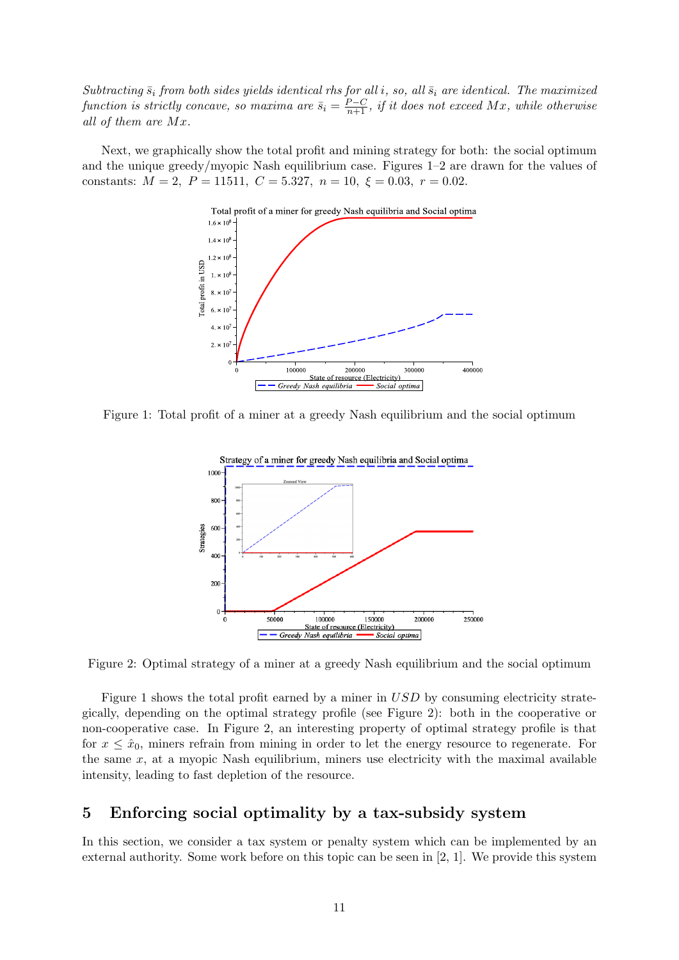Subtracting  $\bar{s}_i$  from both sides yields identical rhs for all i, so, all  $\bar{s}_i$  are identical. The maximized function is strictly concave, so maxima are  $\bar{s}_i = \frac{P-C}{n+1}$ , if it does not exceed Mx, while otherwise all of them are Mx.

Next, we graphically show the total profit and mining strategy for both: the social optimum and the unique greedy/myopic Nash equilibrium case. Figures 1–2 are drawn for the values of constants:  $M = 2$ ,  $P = 11511$ ,  $C = 5.327$ ,  $n = 10$ ,  $\xi = 0.03$ ,  $r = 0.02$ .



Figure 1: Total profit of a miner at a greedy Nash equilibrium and the social optimum



Figure 2: Optimal strategy of a miner at a greedy Nash equilibrium and the social optimum

Figure 1 shows the total profit earned by a miner in USD by consuming electricity strategically, depending on the optimal strategy profile (see Figure 2): both in the cooperative or non-cooperative case. In Figure 2, an interesting property of optimal strategy profile is that for  $x \leq \hat{x}_0$ , miners refrain from mining in order to let the energy resource to regenerate. For the same  $x$ , at a myopic Nash equilibrium, miners use electricity with the maximal available intensity, leading to fast depletion of the resource.

### 5 Enforcing social optimality by a tax-subsidy system

In this section, we consider a tax system or penalty system which can be implemented by an external authority. Some work before on this topic can be seen in [2, 1]. We provide this system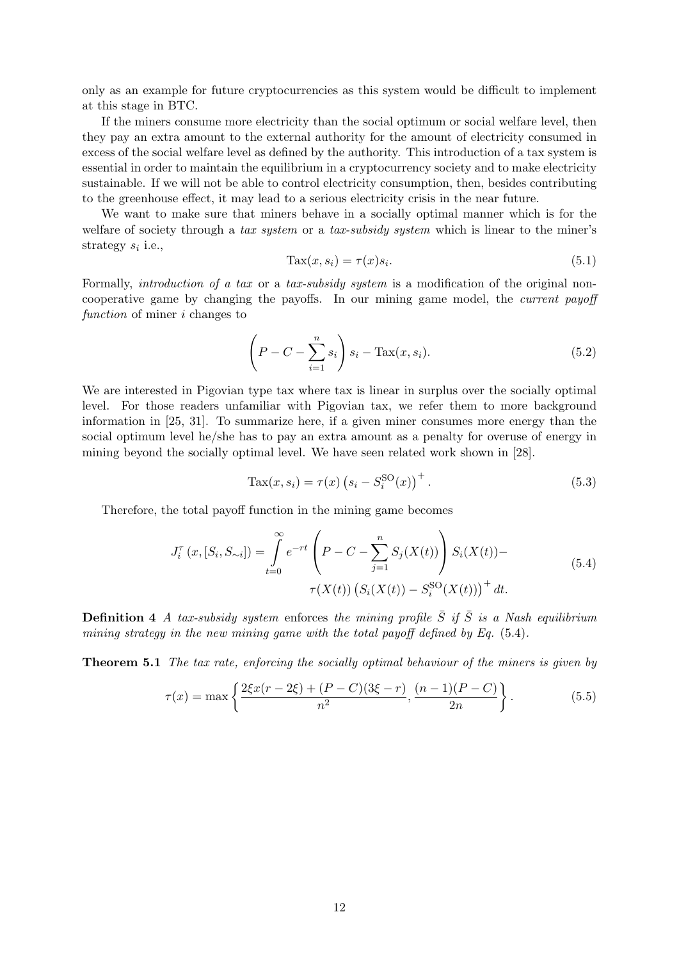only as an example for future cryptocurrencies as this system would be difficult to implement at this stage in BTC.

If the miners consume more electricity than the social optimum or social welfare level, then they pay an extra amount to the external authority for the amount of electricity consumed in excess of the social welfare level as defined by the authority. This introduction of a tax system is essential in order to maintain the equilibrium in a cryptocurrency society and to make electricity sustainable. If we will not be able to control electricity consumption, then, besides contributing to the greenhouse effect, it may lead to a serious electricity crisis in the near future.

We want to make sure that miners behave in a socially optimal manner which is for the welfare of society through a tax system or a tax-subsidy system which is linear to the miner's strategy  $s_i$  i.e.,

$$
\text{Tax}(x, s_i) = \tau(x)s_i. \tag{5.1}
$$

Formally, introduction of a tax or a tax-subsidy system is a modification of the original noncooperative game by changing the payoffs. In our mining game model, the current payoff function of miner *i* changes to

$$
\left(P - C - \sum_{i=1}^{n} s_i\right) s_i - \text{Tax}(x, s_i). \tag{5.2}
$$

We are interested in Pigovian type tax where tax is linear in surplus over the socially optimal level. For those readers unfamiliar with Pigovian tax, we refer them to more background information in [25, 31]. To summarize here, if a given miner consumes more energy than the social optimum level he/she has to pay an extra amount as a penalty for overuse of energy in mining beyond the socially optimal level. We have seen related work shown in [28].

$$
Tax(x, s_i) = \tau(x) (s_i - S_i^{SO}(x))^{+}.
$$
\n(5.3)

Therefore, the total payoff function in the mining game becomes

$$
J_i^{\tau}(x,[S_i,S_{\sim i}]) = \int_{t=0}^{\infty} e^{-rt} \left( P - C - \sum_{j=1}^{n} S_j(X(t)) \right) S_i(X(t)) - \tau(X(t)) \left( S_i(X(t)) - S_i^{SO}(X(t)) \right)^{+} dt.
$$
 (5.4)

**Definition 4** A tax-subsidy system enforces the mining profile  $\bar{S}$  if  $\bar{S}$  is a Nash equilibrium mining strategy in the new mining game with the total payoff defined by Eq. (5.4).

**Theorem 5.1** The tax rate, enforcing the socially optimal behaviour of the miners is given by

$$
\tau(x) = \max\left\{\frac{2\xi x(r-2\xi) + (P-C)(3\xi - r)}{n^2}, \frac{(n-1)(P-C)}{2n}\right\}.
$$
\n(5.5)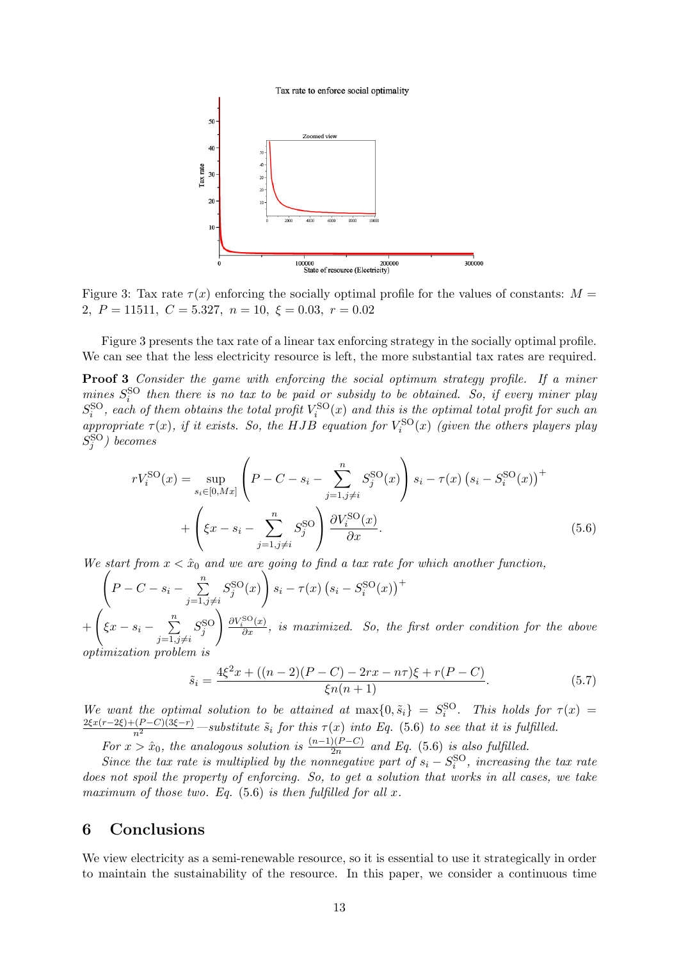

Figure 3: Tax rate  $\tau(x)$  enforcing the socially optimal profile for the values of constants:  $M =$ 2,  $P = 11511$ ,  $C = 5.327$ ,  $n = 10$ ,  $\xi = 0.03$ ,  $r = 0.02$ 

Figure 3 presents the tax rate of a linear tax enforcing strategy in the socially optimal profile. We can see that the less electricity resource is left, the more substantial tax rates are required.

Proof 3 Consider the game with enforcing the social optimum strategy profile. If a miner mines  $S_i^{\text{SO}}$  then there is no tax to be paid or subsidy to be obtained. So, if every miner play i  $S_i^{\text{SO}}$ , each of them obtains the total profit  $V_i^{\text{SO}}(x)$  and this is the optimal total profit for such an appropriate  $\tau(x)$ , if it exists. So, the HJB equation for  $V_i^{\text{SO}}(x)$  (given the others players play  $S^{\rm SO}_j$ ) becomes

$$
rV_i^{\text{SO}}(x) = \sup_{s_i \in [0, Mx]} \left( P - C - s_i - \sum_{j=1, j \neq i}^n S_j^{\text{SO}}(x) \right) s_i - \tau(x) \left( s_i - S_i^{\text{SO}}(x) \right)^+ + \left( \xi x - s_i - \sum_{j=1, j \neq i}^n S_j^{\text{SO}} \right) \frac{\partial V_i^{\text{SO}}(x)}{\partial x}.
$$
 (5.6)

We start from  $x < \hat{x}_0$  and we are going to find a tax rate for which another function,

 $\sqrt{ }$  $P-C-s_i-\sum_{i=1}^n$  $j=1,j\neq i$  $S_j^{\rm SO}(x)$  $\setminus$  $s_i - \tau(x) (s_i - S_i^{\text{SO}}(x))$ <sup>+</sup>  $+$  $\sqrt{ }$  $\xi x - s_i - \sum^{n}$  $j=1,j\neq i$  $S^{\rm SO}_j$ ! ∂V SO i (x) ∂x , is maximized. So, the first order condition for the above optimization problem is

$$
\tilde{s}_i = \frac{4\xi^2 x + ((n-2)(P-C) - 2rx - n\tau)\xi + r(P-C)}{\xi n(n+1)}.
$$
\n(5.7)

We want the optimal solution to be attained at  $\max\{0, \tilde{s}_i\} = S_i^{\text{SO}}$ . This holds for  $\tau(x) =$  $\frac{2\xi x(r-2\xi)+(P-C)(3\xi-r)}{n^2}$  —substitute  $\tilde{s}_i$  for this  $\tau(x)$  into Eq. (5.6) to see that it is fulfilled.

For  $x > \hat{x}_0$ , the analogous solution is  $\frac{(n-1)(P-C)}{2n}$  and Eq. (5.6) is also fulfilled.

Since the tax rate is multiplied by the nonnegative part of  $s_i - S_i^{\text{SO}}$ , increasing the tax rate does not spoil the property of enforcing. So, to get a solution that works in all cases, we take maximum of those two. Eq.  $(5.6)$  is then fulfilled for all x.

## 6 Conclusions

We view electricity as a semi-renewable resource, so it is essential to use it strategically in order to maintain the sustainability of the resource. In this paper, we consider a continuous time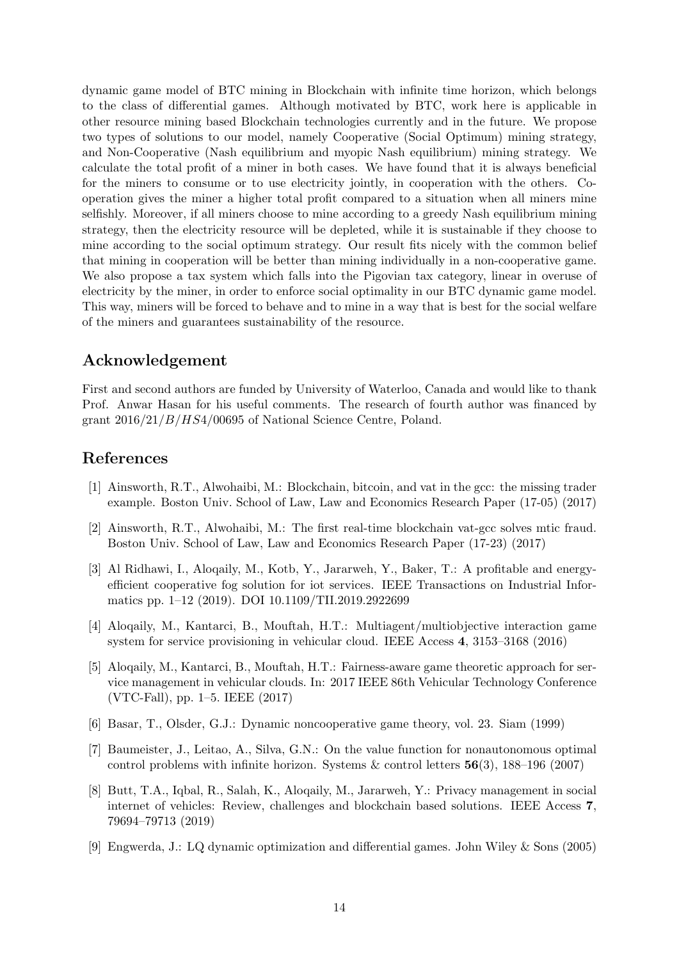dynamic game model of BTC mining in Blockchain with infinite time horizon, which belongs to the class of differential games. Although motivated by BTC, work here is applicable in other resource mining based Blockchain technologies currently and in the future. We propose two types of solutions to our model, namely Cooperative (Social Optimum) mining strategy, and Non-Cooperative (Nash equilibrium and myopic Nash equilibrium) mining strategy. We calculate the total profit of a miner in both cases. We have found that it is always beneficial for the miners to consume or to use electricity jointly, in cooperation with the others. Cooperation gives the miner a higher total profit compared to a situation when all miners mine selfishly. Moreover, if all miners choose to mine according to a greedy Nash equilibrium mining strategy, then the electricity resource will be depleted, while it is sustainable if they choose to mine according to the social optimum strategy. Our result fits nicely with the common belief that mining in cooperation will be better than mining individually in a non-cooperative game. We also propose a tax system which falls into the Pigovian tax category, linear in overuse of electricity by the miner, in order to enforce social optimality in our BTC dynamic game model. This way, miners will be forced to behave and to mine in a way that is best for the social welfare of the miners and guarantees sustainability of the resource.

### Acknowledgement

First and second authors are funded by University of Waterloo, Canada and would like to thank Prof. Anwar Hasan for his useful comments. The research of fourth author was financed by grant 2016/21/B/HS4/00695 of National Science Centre, Poland.

### References

- [1] Ainsworth, R.T., Alwohaibi, M.: Blockchain, bitcoin, and vat in the gcc: the missing trader example. Boston Univ. School of Law, Law and Economics Research Paper (17-05) (2017)
- [2] Ainsworth, R.T., Alwohaibi, M.: The first real-time blockchain vat-gcc solves mtic fraud. Boston Univ. School of Law, Law and Economics Research Paper (17-23) (2017)
- [3] Al Ridhawi, I., Aloqaily, M., Kotb, Y., Jararweh, Y., Baker, T.: A profitable and energyefficient cooperative fog solution for iot services. IEEE Transactions on Industrial Informatics pp. 1–12 (2019). DOI 10.1109/TII.2019.2922699
- [4] Aloqaily, M., Kantarci, B., Mouftah, H.T.: Multiagent/multiobjective interaction game system for service provisioning in vehicular cloud. IEEE Access 4, 3153–3168 (2016)
- [5] Aloqaily, M., Kantarci, B., Mouftah, H.T.: Fairness-aware game theoretic approach for service management in vehicular clouds. In: 2017 IEEE 86th Vehicular Technology Conference (VTC-Fall), pp. 1–5. IEEE (2017)
- [6] Basar, T., Olsder, G.J.: Dynamic noncooperative game theory, vol. 23. Siam (1999)
- [7] Baumeister, J., Leitao, A., Silva, G.N.: On the value function for nonautonomous optimal control problems with infinite horizon. Systems  $\&$  control letters 56(3), 188–196 (2007)
- [8] Butt, T.A., Iqbal, R., Salah, K., Aloqaily, M., Jararweh, Y.: Privacy management in social internet of vehicles: Review, challenges and blockchain based solutions. IEEE Access 7, 79694–79713 (2019)
- [9] Engwerda, J.: LQ dynamic optimization and differential games. John Wiley & Sons (2005)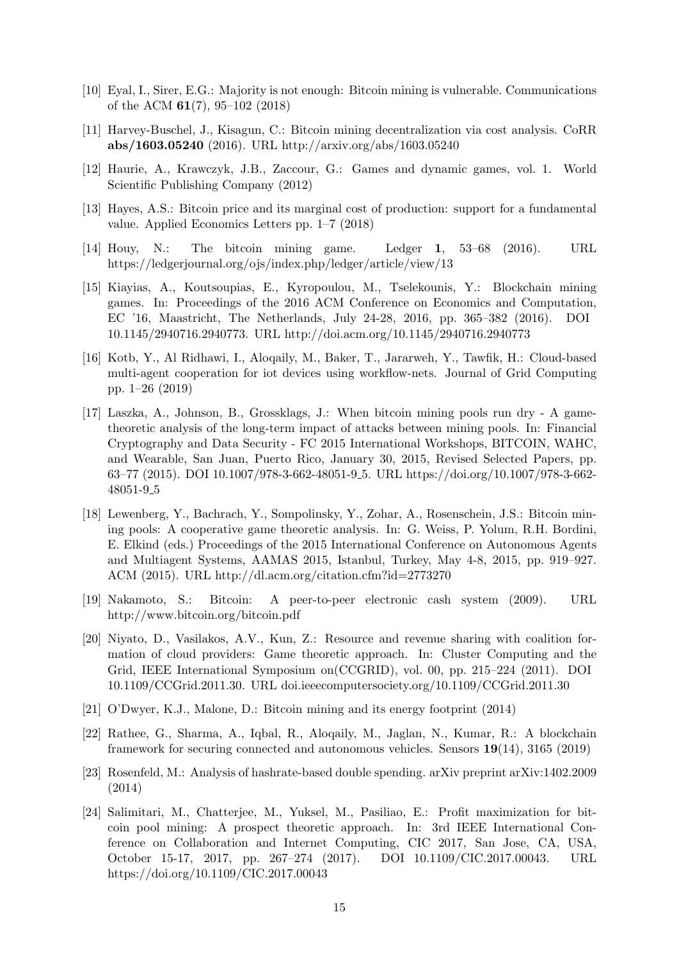- [10] Eyal, I., Sirer, E.G.: Majority is not enough: Bitcoin mining is vulnerable. Communications of the ACM 61(7), 95–102 (2018)
- [11] Harvey-Buschel, J., Kisagun, C.: Bitcoin mining decentralization via cost analysis. CoRR abs/1603.05240 (2016). URL http://arxiv.org/abs/1603.05240
- [12] Haurie, A., Krawczyk, J.B., Zaccour, G.: Games and dynamic games, vol. 1. World Scientific Publishing Company (2012)
- [13] Hayes, A.S.: Bitcoin price and its marginal cost of production: support for a fundamental value. Applied Economics Letters pp. 1–7 (2018)
- [14] Houy, N.: The bitcoin mining game. Ledger 1, 53–68 (2016). URL https://ledgerjournal.org/ojs/index.php/ledger/article/view/13
- [15] Kiayias, A., Koutsoupias, E., Kyropoulou, M., Tselekounis, Y.: Blockchain mining games. In: Proceedings of the 2016 ACM Conference on Economics and Computation, EC '16, Maastricht, The Netherlands, July 24-28, 2016, pp. 365–382 (2016). DOI 10.1145/2940716.2940773. URL http://doi.acm.org/10.1145/2940716.2940773
- [16] Kotb, Y., Al Ridhawi, I., Aloqaily, M., Baker, T., Jararweh, Y., Tawfik, H.: Cloud-based multi-agent cooperation for iot devices using workflow-nets. Journal of Grid Computing pp. 1–26 (2019)
- [17] Laszka, A., Johnson, B., Grossklags, J.: When bitcoin mining pools run dry A gametheoretic analysis of the long-term impact of attacks between mining pools. In: Financial Cryptography and Data Security - FC 2015 International Workshops, BITCOIN, WAHC, and Wearable, San Juan, Puerto Rico, January 30, 2015, Revised Selected Papers, pp. 63–77 (2015). DOI 10.1007/978-3-662-48051-9 5. URL https://doi.org/10.1007/978-3-662- 48051-9 5
- [18] Lewenberg, Y., Bachrach, Y., Sompolinsky, Y., Zohar, A., Rosenschein, J.S.: Bitcoin mining pools: A cooperative game theoretic analysis. In: G. Weiss, P. Yolum, R.H. Bordini, E. Elkind (eds.) Proceedings of the 2015 International Conference on Autonomous Agents and Multiagent Systems, AAMAS 2015, Istanbul, Turkey, May 4-8, 2015, pp. 919–927. ACM (2015). URL http://dl.acm.org/citation.cfm?id=2773270
- [19] Nakamoto, S.: Bitcoin: A peer-to-peer electronic cash system (2009). URL http://www.bitcoin.org/bitcoin.pdf
- [20] Niyato, D., Vasilakos, A.V., Kun, Z.: Resource and revenue sharing with coalition formation of cloud providers: Game theoretic approach. In: Cluster Computing and the Grid, IEEE International Symposium on(CCGRID), vol. 00, pp. 215–224 (2011). DOI 10.1109/CCGrid.2011.30. URL doi.ieeecomputersociety.org/10.1109/CCGrid.2011.30
- [21] O'Dwyer, K.J., Malone, D.: Bitcoin mining and its energy footprint (2014)
- [22] Rathee, G., Sharma, A., Iqbal, R., Aloqaily, M., Jaglan, N., Kumar, R.: A blockchain framework for securing connected and autonomous vehicles. Sensors 19(14), 3165 (2019)
- [23] Rosenfeld, M.: Analysis of hashrate-based double spending. arXiv preprint arXiv:1402.2009 (2014)
- [24] Salimitari, M., Chatterjee, M., Yuksel, M., Pasiliao, E.: Profit maximization for bitcoin pool mining: A prospect theoretic approach. In: 3rd IEEE International Conference on Collaboration and Internet Computing, CIC 2017, San Jose, CA, USA, October 15-17, 2017, pp. 267–274 (2017). DOI 10.1109/CIC.2017.00043. URL https://doi.org/10.1109/CIC.2017.00043